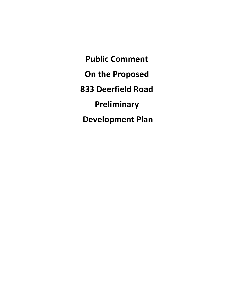**Public Comment On the Proposed 833 Deerfield Road Preliminary Development Plan**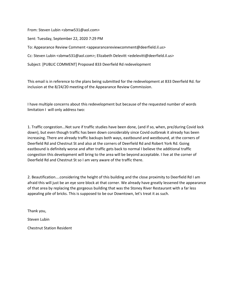From: Steven Lubin <sbmw531@aol.com>

Sent: Tuesday, September 22, 2020 7:29 PM

To: Appearance Review Comment <appearancereviewcomment@deerfield.il.us>

Cc: Steven Lubin <sbmw531@aol.com>; Elizabeth Delevitt <edelevitt@deerfield.il.us>

Subject: [PUBLIC COMMENT] Proposed 833 Deerfield Rd redevelopment

This email is in reference to the plans being submitted for the redevelopment at 833 Deerfield Rd. for inclusion at the 8/24/20 meeting of the Appearance Review Commission.

I have multiple concerns about this redevelopment but because of the requested number of words limitation I will only address two:

1. Traffic congestion...Not sure if traffic studies have been done, (and if so, when, pre/during Covid lock down), but even though traffic has been down considerably since Covid outbreak it already has been increasing. There are already traffic backups both ways, eastbound and westbound, at the corners of Deerfield Rd and Chestnut St and also at the corners of Deerfield Rd and Robert York Rd. Going eastbound is definitely worse and after traffic gets back to normal I believe the additional traffic congestion this development will bring to the area will be beyond acceptable. I live at the corner of Deerfield Rd and Chestnut St so I am very aware of the traffic there.

2. Beautification....considering the height of this building and the close proximity to Deerfield Rd I am afraid this will just be an eye sore block at that corner. We already have greatly lessened the appearance of that area by replacing the gorgeous building that was the Stoney River Restaurant with a far less appealing pile of bricks. This is supposed to be our Downtown, let's treat it as such.

Thank you,

Steven Lubin

Chestnut Station Resident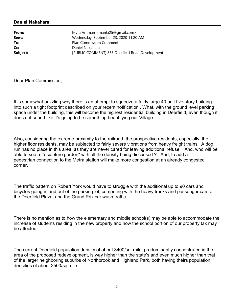**From:** Myra Antman <mantx25@gmail.com> **Sent:** Wednesday, September 23, 2020 11:20 AM **To:** Plan Commission Comment **Cc:** Daniel Nakahara **Subject:** [PUBLIC COMMENT] 833 Deerfield Road Development

Dear Plan Commission,

It is somewhat puzzling why there is an attempt to squeeze a fairly large 40 unit five-story building into such a tight footprint described on your recent notification . What, with the ground level parking space under the building, this will become the highest residential building in Deerfield, even though it does not sound like it's going to be something beautifying our Village.

Also, considering the extreme proximity to the railroad, the prospective residents, especially, the higher floor residents, may be subjected to fairly severe vibrations from heavy freight trains. A dog run has no place in this area, as they are never cared for leaving additional refuse. And, who will be able to see a "sculpture garden" with all the density being discussed ? And, to add a pedestrian connection to the Metra station will make more congestion at an already congested corner.

The traffic pattern on Robert York would have to struggle with the additional up to 90 cars and bicycles going in and out of the parking lot, competing with the heavy trucks and passenger cars of the Deerfield Plaza, and the Grand Prix car wash traffic.

There is no mention as to how the elementary and middle school(s) may be able to accommodate the increase of students residing in the new property and how the school portion of our property tax may be affected.

The current Deerfield population density of about 3400/sq. mile, predominantly concentrated in the area of the proposed redevelopment, is way higher than the state's and even much higher than that of the larger neighboring suburbs of Northbrook and Highland Park, both having theirs population densities of about 2500/sq.mile.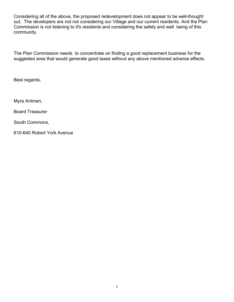Considering all of the above, the proposed redevelopment does not appear to be well-thought out. The developers are not not considering our Village and our current residents. And the Plan Commission is not listening to it's residents and considering the safety and well being of this community.

The Plan Commission needs to concentrate on finding a good replacement business for the suggested area that would generate good taxes without any above mentioned adverse effects.

Best regards,

Myra Antman,

Board Treasurer

South Commons,

610-640 Robert York Avenue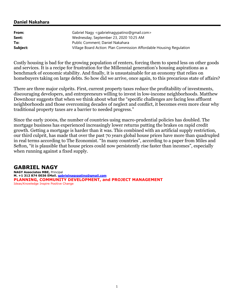| From:    | Gabriel Nagy <gabrielnagypatino@gmail.com></gabrielnagypatino@gmail.com> |
|----------|--------------------------------------------------------------------------|
| Sent:    | Wednesday, September 23, 2020 10:25 AM                                   |
| To:      | Public Comment; Daniel Nakahara                                          |
| Subject: | Village Board Action: Plan Commission Affordable Housing Regulation      |

Costly housing is bad for the growing population of renters, forcing them to spend less on other goods and services. It is a recipe for frustration for the Millennial generation's housing aspirations as a benchmark of economic stability. And finally, it is unsustainable for an economy that relies on homebuyers taking on large debts. So how did we arrive, once again, to this precarious state of affairs?

There are three major culprits. First, current property taxes reduce the profitability of investments, discouraging developers, and entrepreneurs willing to invest in low-income neighborhoods. Matthew Downhour suggests that when we think about what the "specific challenges are facing less affluent neighborhoods and those overcoming decades of neglect and conflict, it becomes even more clear why traditional property taxes are a barrier to needed progress."

Since the early 2000s, the number of countries using macro-prudential policies has doubled. The mortgage business has experienced increasingly lower returns putting the brakes on rapid credit growth. Getting a mortgage is harder than it was. This combined with an artificial supply restriction, our third culprit, has made that over the past 70 years global house prices have more than quadrupled in real terms according to The Economist. "In many countries", according to a paper from Miles and Sefton, "it is plausible that house prices could now persistently rise faster than incomes", especially when running against a fixed supply.

# **GABRIEL NAGY**

**NAGY Associates MBE,** Principal **M. +1 312 874 0036 EMail. gabrielnagypatino@gmail.com PLANNING, COMMUNITY DEVELOPMENT, and PROJECT MANAGEMENT** Ideas/Knowledge Inspire Positive Change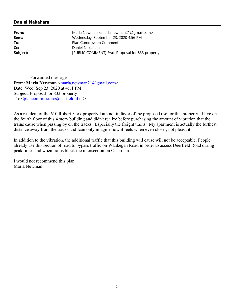**From:** Marla Newman <marla.newman21@gmail.com> **Sent:** Wednesday, September 23, 2020 4:56 PM **To:** Plan Commission Comment **Cc:** Daniel Nakahara **Subject:** [PUBLIC COMMENT] Fwd: Proposal for 833 property

---------- Forwarded message --------- From: **Marla Newman** <marla.newman21@gmail.com> Date: Wed, Sep 23, 2020 at 4:11 PM Subject: Proposal for 833 property To: <plancommission@deerfield.il.us>

As a resident of the 610 Robert York property I am not in favor of the proposed use for this property. I live on the fourth floor of this 4 story building and didn't realize before purchasing the amount of vibration that the trains cause when passing by on the tracks. Especially the freight trains. My apartment is actually the furthest distance away from the tracks and Ican only imagine how it feels when even closer, not pleasant!

In addition to the vibration, the additional traffic that this building will cause will not be acceptable. People already use this section of road to bypass traffic on Waukegan Road in order to access Deerfield Road during peak times and when trains block the intersection on Osterman.

I would not recommend this plan. Marla Newman